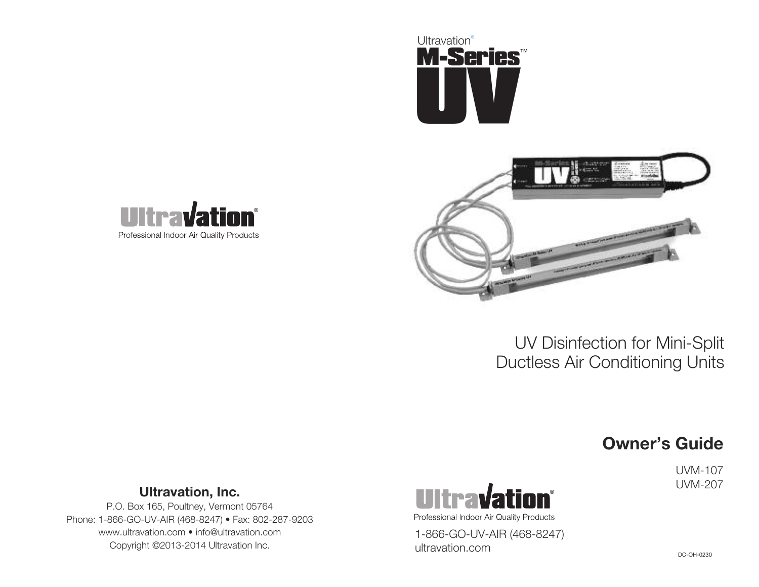





# **Owner's Guide**

UVM-107



P.O. Box 165, Poultney, Vermont 05764 Phone: 1-866-GO-UV-AIR (468-8247) • Fax: 802-287-9203 www.ultravation.com • info@ultravation.com Copyright ©2013-2014 Ultravation Inc.



1-866-GO-UV-AIR (468-8247) ultravation.com

DC-OH-0230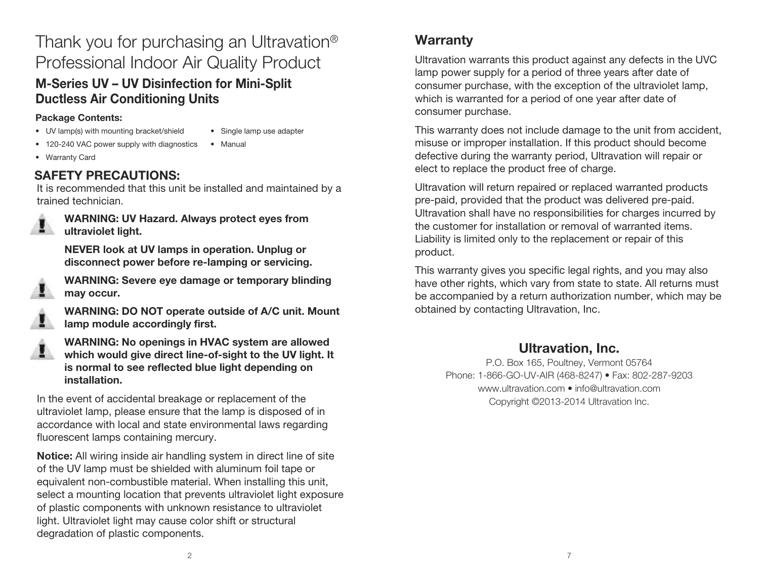# Thank you for purchasing an Ultravation® Professional Indoor Air Quality Product

## **M-Series UV – UV Disinfection for Mini-Split Ductless Air Conditioning Units**

#### **Package Contents:**

- UV lamp(s) with mounting bracket/shield
- Single lamp use adapter
- 120-240 VAC power supply with diagnostics • Manual
- Warranty Card

## **SAFETY PRECAUTIONS:**

It is recommended that this unit be installed and maintained by a trained technician.



**WARNING: UV Hazard. Always protect eyes from ultraviolet light.**

**NEVER look at UV lamps in operation. Unplug or disconnect power before re-lamping or servicing.**



**WARNING: Severe eye damage or temporary blinding may occur.**



**WARNING: DO NOT operate outside of A/C unit. Mount lamp module accordingly first.**



**WARNING: No openings in HVAC system are allowed which would give direct line-of-sight to the UV light. It is normal to see reflected blue light depending on installation.**

In the event of accidental breakage or replacement of the ultraviolet lamp, please ensure that the lamp is disposed of in accordance with local and state environmental laws regarding fluorescent lamps containing mercury.

**Notice:** All wiring inside air handling system in direct line of site of the UV lamp must be shielded with aluminum foil tape or equivalent non-combustible material. When installing this unit, select a mounting location that prevents ultraviolet light exposure of plastic components with unknown resistance to ultraviolet light. Ultraviolet light may cause color shift or structural degradation of plastic components.

## **Warranty**

Ultravation warrants this product against any defects in the UVC lamp power supply for a period of three years after date of consumer purchase, with the exception of the ultraviolet lamp, which is warranted for a period of one year after date of consumer purchase.

This warranty does not include damage to the unit from accident, misuse or improper installation. If this product should become defective during the warranty period, Ultravation will repair or elect to replace the product free of charge.

Ultravation will return repaired or replaced warranted products pre-paid, provided that the product was delivered pre-paid. Ultravation shall have no responsibilities for charges incurred by the customer for installation or removal of warranted items. Liability is limited only to the replacement or repair of this product.

This warranty gives you specific legal rights, and you may also have other rights, which vary from state to state. All returns must be accompanied by a return authorization number, which may be obtained by contacting Ultravation, Inc.

## **Ultravation, Inc.**

P.O. Box 165, Poultney, Vermont 05764 Phone: 1-866-GO-UV-AIR (468-8247) • Fax: 802-287-9203 www.ultravation.com • info@ultravation.com Copyright ©2013-2014 Ultravation Inc.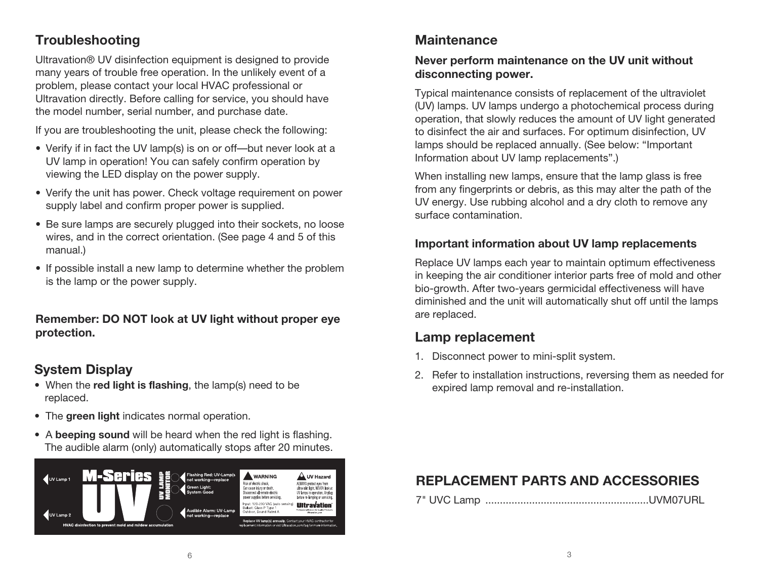## **Troubleshooting**

Ultravation® UV disinfection equipment is designed to provide many years of trouble free operation. In the unlikely event of a problem, please contact your local HVAC professional or Ultravation directly. Before calling for service, you should have the model number, serial number, and purchase date.

If you are troubleshooting the unit, please check the following:

- Verify if in fact the UV lamp(s) is on or off—but never look at a UV lamp in operation! You can safely confirm operation by viewing the LED display on the power supply.
- Verify the unit has power. Check voltage requirement on power supply label and confirm proper power is supplied.
- Be sure lamps are securely plugged into their sockets, no loose wires, and in the correct orientation. (See page 4 and 5 of this manual.)
- If possible install a new lamp to determine whether the problem is the lamp or the power supply.

**Remember: DO NOT look at UV light without proper eye protection.**

### **System Display**

- When the **red light is flashing**, the lamp(s) need to be replaced.
- The **green light** indicates normal operation.
- A **beeping sound** will be heard when the red light is flashing. The audible alarm (only) automatically stops after 20 minutes.



#### **Maintenance**

#### **Never perform maintenance on the UV unit without disconnecting power.**

Typical maintenance consists of replacement of the ultraviolet (UV) lamps. UV lamps undergo a photochemical process during operation, that slowly reduces the amount of UV light generated to disinfect the air and surfaces. For optimum disinfection, UV lamps should be replaced annually. (See below: "Important Information about UV lamp replacements".)

When installing new lamps, ensure that the lamp glass is free from any fingerprints or debris, as this may alter the path of the UV energy. Use rubbing alcohol and a dry cloth to remove any surface contamination.

#### **Important information about UV lamp replacements**

Replace UV lamps each year to maintain optimum effectiveness in keeping the air conditioner interior parts free of mold and other bio-growth. After two-years germicidal effectiveness will have diminished and the unit will automatically shut off until the lamps are replaced.

#### **Lamp replacement**

- 1. Disconnect power to mini-split system.
- 2. Refer to installation instructions, reversing them as needed for expired lamp removal and re-installation.

### **REPLACEMENT PARTS AND ACCESSORIES**

7" UVC Lamp ........................................................UVM07URL